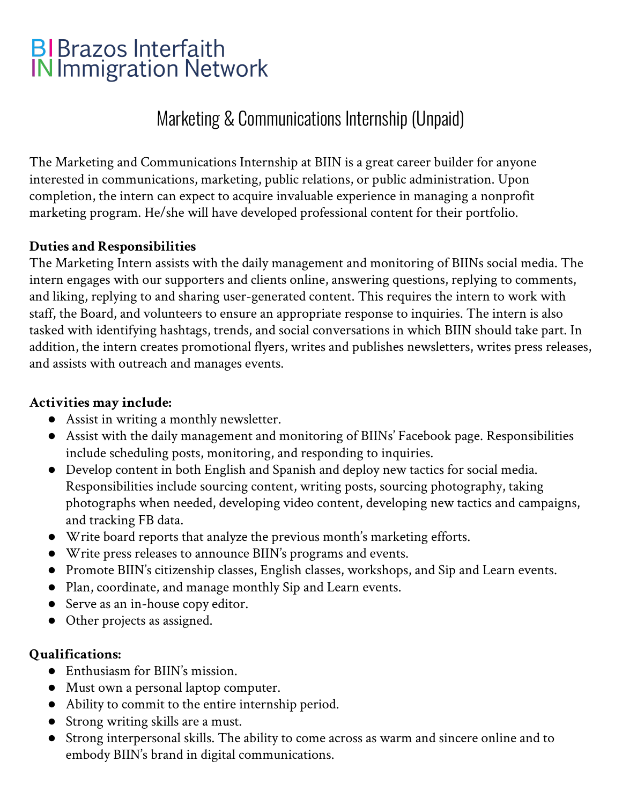# **BIBrazos Interfaith IN Immigration Network**

## Marketing & Communications Internship (Unpaid)

The Marketing and Communications Internship at BIIN is a great career builder for anyone interested in communications, marketing, public relations, or public administration. Upon completion, the intern can expect to acquire invaluable experience in managing a nonprofit marketing program. He/she will have developed professional content for their portfolio.

#### **Duties and Responsibilities**

The Marketing Intern assists with the daily management and monitoring of BIINs social media. The intern engages with our supporters and clients online, answering questions, replying to comments, and liking, replying to and sharing user-generated content. This requires the intern to work with staff, the Board, and volunteers to ensure an appropriate response to inquiries. The intern is also tasked with identifying hashtags, trends, and social conversations in which BIIN should take part. In addition, the intern creates promotional flyers, writes and publishes newsletters, writes press releases, and assists with outreach and manages events.

#### **Activities may include:**

- Assist in writing a monthly newsletter.
- Assist with the daily management and monitoring of BIINs' Facebook page. Responsibilities include scheduling posts, monitoring, and responding to inquiries.
- Develop content in both English and Spanish and deploy new tactics for social media. Responsibilities include sourcing content, writing posts, sourcing photography, taking photographs when needed, developing video content, developing new tactics and campaigns, and tracking FB data.
- Write board reports that analyze the previous month's marketing efforts.
- Write press releases to announce BIIN's programs and events.
- Promote BIIN's citizenship classes, English classes, workshops, and Sip and Learn events.
- Plan, coordinate, and manage monthly Sip and Learn events.
- Serve as an in-house copy editor.
- Other projects as assigned.

#### **Qualifications:**

- Enthusiasm for BIIN's mission.
- Must own a personal laptop computer.
- Ability to commit to the entire internship period.
- Strong writing skills are a must.
- Strong interpersonal skills. The ability to come across as warm and sincere online and to embody BIIN's brand in digital communications.